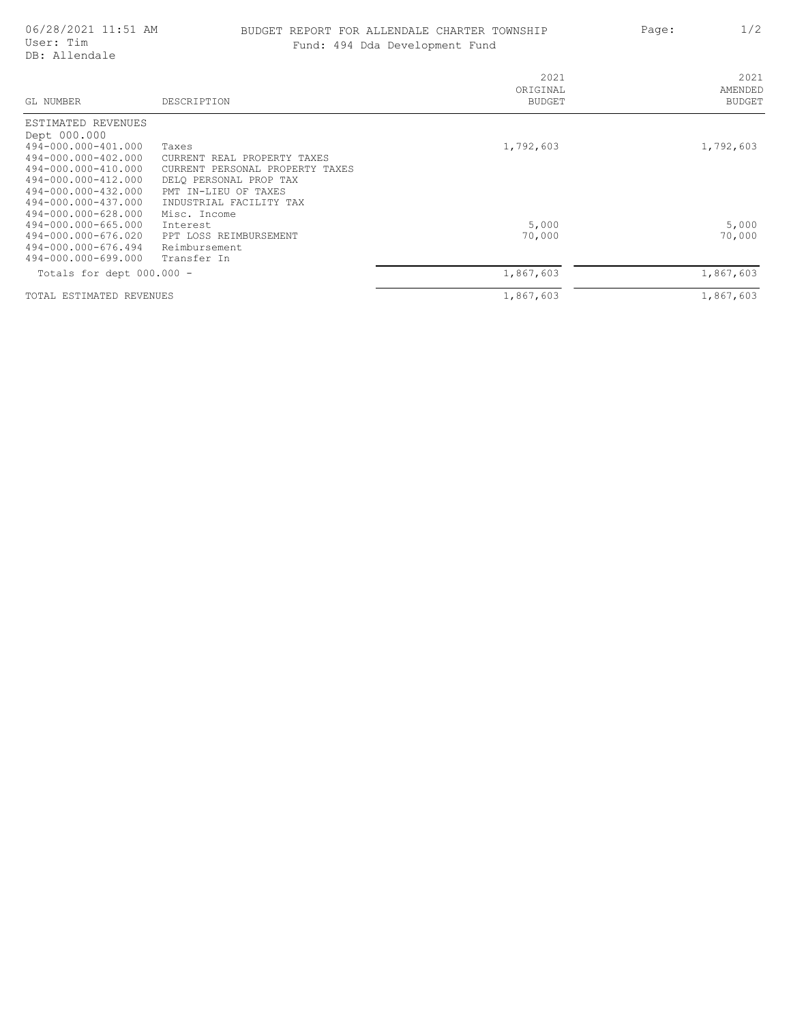## 06/28/2021 11:51 AM BUDGET REPORT FOR ALLENDALE CHARTER TOWNSHIP Page: 1/2 Fund: 494 Dda Development Fund

| GL NUMBER                                  | DESCRIPTION                                                       | 2021<br>ORIGINAL<br><b>BUDGET</b> | 2021<br>AMENDED<br>BUDGET |
|--------------------------------------------|-------------------------------------------------------------------|-----------------------------------|---------------------------|
| ESTIMATED REVENUES                         |                                                                   |                                   |                           |
| Dept 000.000                               |                                                                   |                                   |                           |
| 494-000.000-401.000                        | Taxes                                                             | 1,792,603                         | 1,792,603                 |
| 494-000.000-402.000<br>494-000.000-410.000 | CURRENT REAL PROPERTY TAXES<br>CURRENT<br>PERSONAL PROPERTY TAXES |                                   |                           |
| 494-000.000-412.000                        | DELO PERSONAL PROP TAX                                            |                                   |                           |
| 494-000.000-432.000                        | PMT IN-LIEU OF TAXES                                              |                                   |                           |
| 494-000.000-437.000                        | INDUSTRIAL FACILITY TAX                                           |                                   |                           |
| 494-000.000-628.000                        | Misc. Income                                                      |                                   |                           |
| 494-000.000-665.000                        | Interest                                                          | 5,000                             | 5,000                     |
| 494-000.000-676.020                        | PPT LOSS REIMBURSEMENT                                            | 70,000                            | 70,000                    |
| 494-000.000-676.494                        | Reimbursement                                                     |                                   |                           |
| 494-000.000-699.000                        | Transfer In                                                       |                                   |                           |
| Totals for dept 000.000 -                  |                                                                   | 1,867,603                         | 1,867,603                 |
| TOTAL ESTIMATED REVENUES                   |                                                                   | 1,867,603                         | 1,867,603                 |